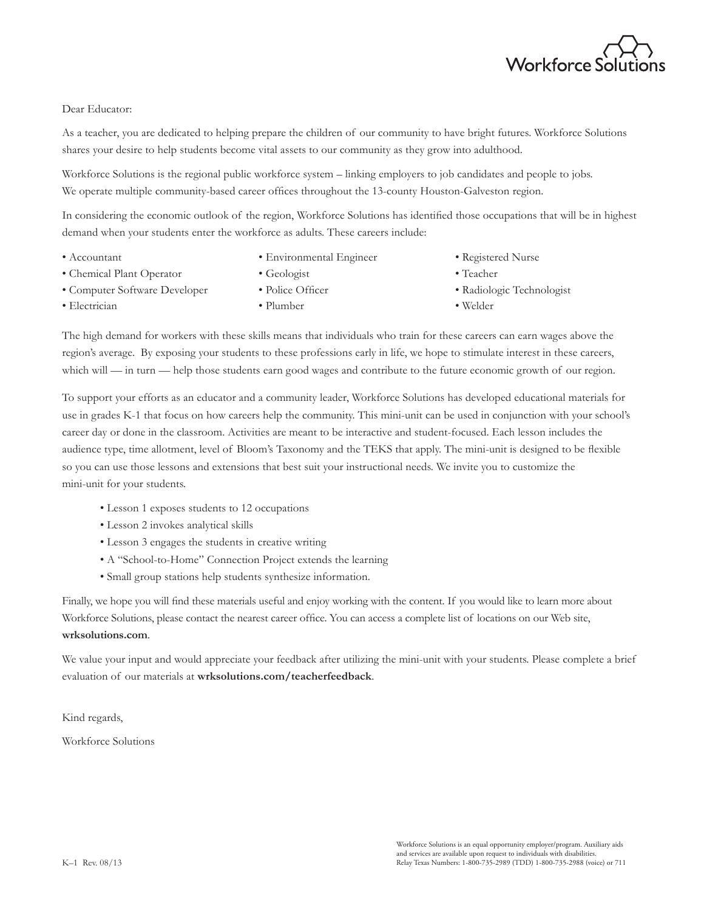

#### Dear Educator:

As a teacher, you are dedicated to helping prepare the children of our community to have bright futures. Workforce Solutions shares your desire to help students become vital assets to our community as they grow into adulthood.

Workforce Solutions is the regional public workforce system – linking employers to job candidates and people to jobs. We operate multiple community-based career offices throughout the 13-county Houston-Galveston region.

In considering the economic outlook of the region, Workforce Solutions has identified those occupations that will be in highest demand when your students enter the workforce as adults. These careers include:

- Accountant • Environmental Engineer
- Chemical Plant Operator
- Geologist
- Computer Software Developer
- Plumber

• Police Officer

• Teacher

• Welder

• Registered Nurse

• Radiologic Technologist

• Electrician

The high demand for workers with these skills means that individuals who train for these careers can earn wages above the region's average. By exposing your students to these professions early in life, we hope to stimulate interest in these careers, which will — in turn — help those students earn good wages and contribute to the future economic growth of our region.

To support your efforts as an educator and a community leader, Workforce Solutions has developed educational materials for use in grades K-1 that focus on how careers help the community. This mini-unit can be used in conjunction with your school's career day or done in the classroom. Activities are meant to be interactive and student-focused. Each lesson includes the audience type, time allotment, level of Bloom's Taxonomy and the TEKS that apply. The mini-unit is designed to be flexible so you can use those lessons and extensions that best suit your instructional needs. We invite you to customize the mini-unit for your students.

- Lesson 1 exposes students to 12 occupations
- Lesson 2 invokes analytical skills
- Lesson 3 engages the students in creative writing
- A "School-to-Home" Connection Project extends the learning
- Small group stations help students synthesize information.

Finally, we hope you will find these materials useful and enjoy working with the content. If you would like to learn more about Workforce Solutions, please contact the nearest career office. You can access a complete list of locations on our Web site, **wrksolutions.com**.

We value your input and would appreciate your feedback after utilizing the mini-unit with your students. Please complete a brief evaluation of our materials at **wrksolutions.com/teacherfeedback**.

Kind regards,

Workforce Solutions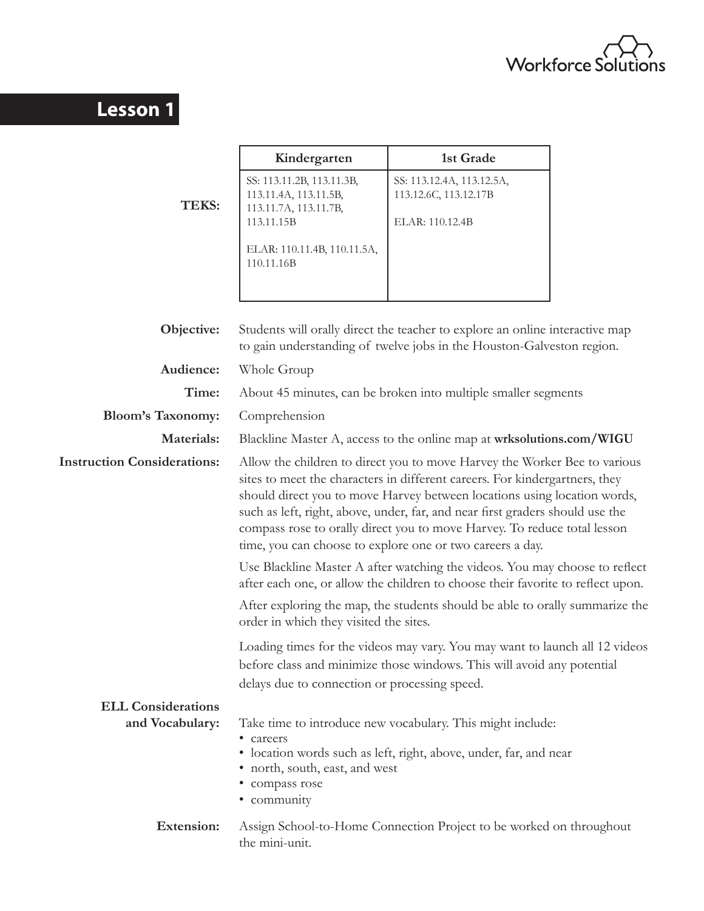

# **Lesson 1**

|                                    | Kindergarten                                                                                                                                                                                                                                                                                                                                                                                                                                                   | 1st Grade                                                                                                                                             |  |
|------------------------------------|----------------------------------------------------------------------------------------------------------------------------------------------------------------------------------------------------------------------------------------------------------------------------------------------------------------------------------------------------------------------------------------------------------------------------------------------------------------|-------------------------------------------------------------------------------------------------------------------------------------------------------|--|
| <b>TEKS:</b>                       | SS: 113.11.2B, 113.11.3B,<br>113.11.4A, 113.11.5B,<br>113.11.7A, 113.11.7B,<br>113.11.15B                                                                                                                                                                                                                                                                                                                                                                      | SS: 113.12.4A, 113.12.5A,<br>113.12.6C, 113.12.17B<br>ELAR: 110.12.4B                                                                                 |  |
|                                    | ELAR: 110.11.4B, 110.11.5A,<br>110.11.16B                                                                                                                                                                                                                                                                                                                                                                                                                      |                                                                                                                                                       |  |
| Objective:                         |                                                                                                                                                                                                                                                                                                                                                                                                                                                                | Students will orally direct the teacher to explore an online interactive map<br>to gain understanding of twelve jobs in the Houston-Galveston region. |  |
| Audience:                          | Whole Group                                                                                                                                                                                                                                                                                                                                                                                                                                                    |                                                                                                                                                       |  |
| Time:                              |                                                                                                                                                                                                                                                                                                                                                                                                                                                                | About 45 minutes, can be broken into multiple smaller segments                                                                                        |  |
| <b>Bloom's Taxonomy:</b>           | Comprehension                                                                                                                                                                                                                                                                                                                                                                                                                                                  |                                                                                                                                                       |  |
| Materials:                         | Blackline Master A, access to the online map at wrksolutions.com/WIGU                                                                                                                                                                                                                                                                                                                                                                                          |                                                                                                                                                       |  |
| <b>Instruction Considerations:</b> | Allow the children to direct you to move Harvey the Worker Bee to various<br>sites to meet the characters in different careers. For kindergartners, they<br>should direct you to move Harvey between locations using location words,<br>such as left, right, above, under, far, and near first graders should use the<br>compass rose to orally direct you to move Harvey. To reduce total lesson<br>time, you can choose to explore one or two careers a day. |                                                                                                                                                       |  |
|                                    | Use Blackline Master A after watching the videos. You may choose to reflect<br>after each one, or allow the children to choose their favorite to reflect upon.                                                                                                                                                                                                                                                                                                 |                                                                                                                                                       |  |
|                                    | After exploring the map, the students should be able to orally summarize the<br>order in which they visited the sites.                                                                                                                                                                                                                                                                                                                                         |                                                                                                                                                       |  |
|                                    | Loading times for the videos may vary. You may want to launch all 12 videos<br>before class and minimize those windows. This will avoid any potential<br>delays due to connection or processing speed.                                                                                                                                                                                                                                                         |                                                                                                                                                       |  |
| <b>ELL Considerations</b>          |                                                                                                                                                                                                                                                                                                                                                                                                                                                                |                                                                                                                                                       |  |
| and Vocabulary:                    | • careers<br>• north, south, east, and west<br>· compass rose<br>• community                                                                                                                                                                                                                                                                                                                                                                                   | Take time to introduce new vocabulary. This might include:<br>• location words such as left, right, above, under, far, and near                       |  |
| <b>Extension:</b>                  | the mini-unit.                                                                                                                                                                                                                                                                                                                                                                                                                                                 | Assign School-to-Home Connection Project to be worked on throughout                                                                                   |  |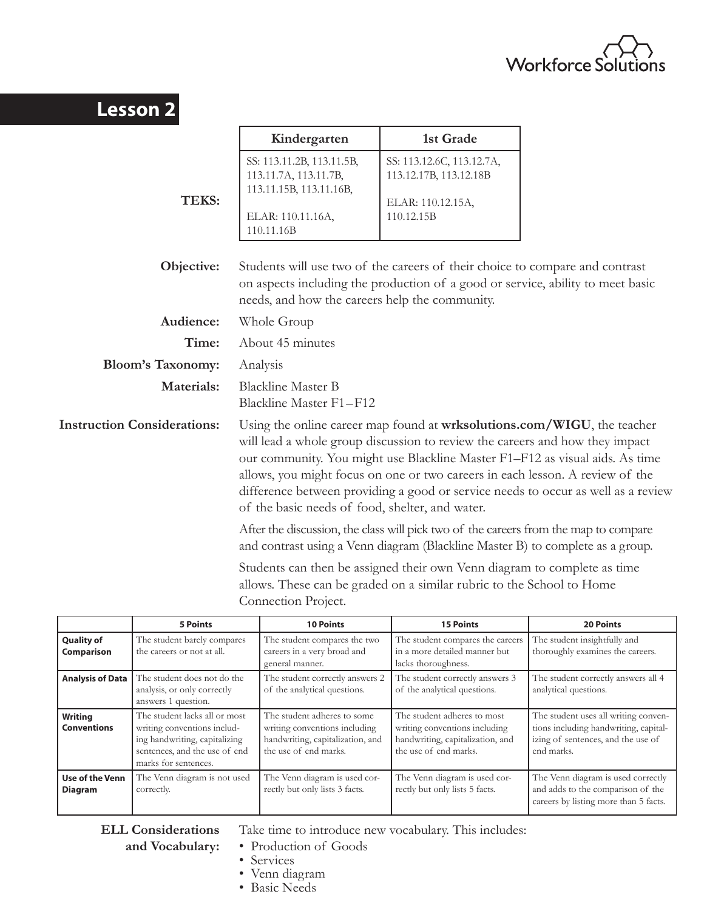

| <b>Lesson 2</b>                    |                                                                                                                                                                                                                                                                                                                                                                                                                                                                  |                                                                                        |  |
|------------------------------------|------------------------------------------------------------------------------------------------------------------------------------------------------------------------------------------------------------------------------------------------------------------------------------------------------------------------------------------------------------------------------------------------------------------------------------------------------------------|----------------------------------------------------------------------------------------|--|
|                                    | Kindergarten                                                                                                                                                                                                                                                                                                                                                                                                                                                     | 1st Grade                                                                              |  |
| <b>TEKS:</b>                       | SS: 113.11.2B, 113.11.5B,<br>113.11.7A, 113.11.7B,<br>113.11.15B, 113.11.16B,<br>ELAR: 110.11.16A,<br>110.11.16B                                                                                                                                                                                                                                                                                                                                                 | SS: 113.12.6C, 113.12.7A,<br>113.12.17B, 113.12.18B<br>ELAR: 110.12.15A,<br>110.12.15B |  |
| Objective:                         | Students will use two of the careers of their choice to compare and contrast<br>on aspects including the production of a good or service, ability to meet basic<br>needs, and how the careers help the community.                                                                                                                                                                                                                                                |                                                                                        |  |
| Audience:                          | Whole Group                                                                                                                                                                                                                                                                                                                                                                                                                                                      |                                                                                        |  |
| Time:                              | About 45 minutes                                                                                                                                                                                                                                                                                                                                                                                                                                                 |                                                                                        |  |
| <b>Bloom's Taxonomy:</b>           | Analysis                                                                                                                                                                                                                                                                                                                                                                                                                                                         |                                                                                        |  |
| <b>Materials:</b>                  | <b>Blackline Master B</b><br>Blackline Master F1-F12                                                                                                                                                                                                                                                                                                                                                                                                             |                                                                                        |  |
| <b>Instruction Considerations:</b> | Using the online career map found at wrksolutions.com/WIGU, the teacher<br>will lead a whole group discussion to review the careers and how they impact<br>our community. You might use Blackline Master F1-F12 as visual aids. As time<br>allows, you might focus on one or two careers in each lesson. A review of the<br>difference between providing a good or service needs to occur as well as a review<br>of the basic needs of food, shelter, and water. |                                                                                        |  |
|                                    | After the discussion, the class will pick two of the careers from the map to compare<br>and contrast using a Venn diagram (Blackline Master B) to complete as a group.                                                                                                                                                                                                                                                                                           |                                                                                        |  |
|                                    | Students can then be assigned their own Venn diagram to complete as time<br>allows. These can be graded on a similar rubric to the School to Home<br>Connection Project.                                                                                                                                                                                                                                                                                         |                                                                                        |  |

|                                        | <b>5 Points</b>                                                                                                                                        | <b>10 Points</b>                                                                                                          | <b>15 Points</b>                                                                                                          | <b>20 Points</b>                                                                                                                  |
|----------------------------------------|--------------------------------------------------------------------------------------------------------------------------------------------------------|---------------------------------------------------------------------------------------------------------------------------|---------------------------------------------------------------------------------------------------------------------------|-----------------------------------------------------------------------------------------------------------------------------------|
| <b>Quality of</b><br><b>Comparison</b> | The student barely compares<br>the careers or not at all.                                                                                              | The student compares the two<br>careers in a very broad and<br>general manner.                                            | The student compares the careers<br>in a more detailed manner but<br>lacks thoroughness.                                  | The student insightfully and<br>thoroughly examines the careers.                                                                  |
| <b>Analysis of Data</b>                | The student does not do the<br>analysis, or only correctly<br>answers 1 question.                                                                      | The student correctly answers 2<br>of the analytical questions.                                                           | The student correctly answers 3<br>of the analytical questions.                                                           | The student correctly answers all 4<br>analytical questions.                                                                      |
| Writing<br><b>Conventions</b>          | The student lacks all or most<br>writing conventions includ-<br>ing handwriting, capitalizing<br>sentences, and the use of end<br>marks for sentences. | The student adheres to some<br>writing conventions including<br>handwriting, capitalization, and<br>the use of end marks. | The student adheres to most<br>writing conventions including<br>handwriting, capitalization, and<br>the use of end marks. | The student uses all writing conven-<br>tions including handwriting, capital-<br>izing of sentences, and the use of<br>end marks. |
| Use of the Venn<br><b>Diagram</b>      | The Venn diagram is not used<br>correctly.                                                                                                             | The Venn diagram is used cor-<br>rectly but only lists 3 facts.                                                           | The Venn diagram is used cor-<br>rectly but only lists 5 facts.                                                           | The Venn diagram is used correctly<br>and adds to the comparison of the<br>careers by listing more than 5 facts.                  |

**ELL Considerations** Take time to introduce new vocabulary. This includes:

- 
- **and Vocabulary:** Production of Goods
	- Services
	- Venn diagram
	- Basic Needs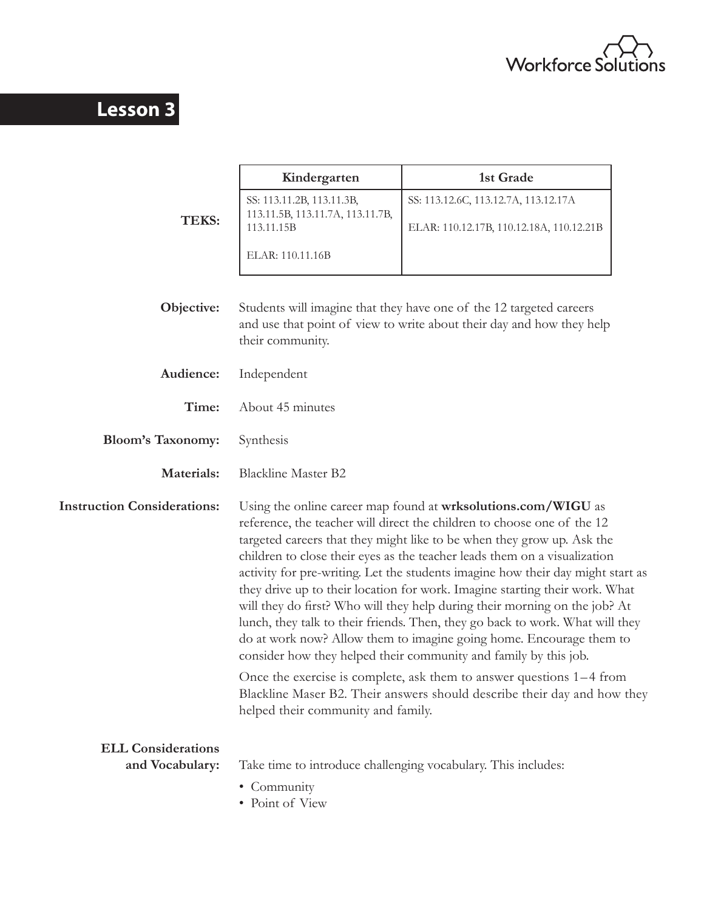

# **Lesson 3**

|                                              | Kindergarten                                                                                                                                                                                                                                                                                                                                                                                                                                                                                                                                                                                                                                                                                                                                                                                                                                                                                                                    | 1st Grade                                                                                                                                    |
|----------------------------------------------|---------------------------------------------------------------------------------------------------------------------------------------------------------------------------------------------------------------------------------------------------------------------------------------------------------------------------------------------------------------------------------------------------------------------------------------------------------------------------------------------------------------------------------------------------------------------------------------------------------------------------------------------------------------------------------------------------------------------------------------------------------------------------------------------------------------------------------------------------------------------------------------------------------------------------------|----------------------------------------------------------------------------------------------------------------------------------------------|
| <b>TEKS:</b>                                 | SS: 113.11.2B, 113.11.3B,<br>113.11.5B, 113.11.7A, 113.11.7B,<br>113.11.15B                                                                                                                                                                                                                                                                                                                                                                                                                                                                                                                                                                                                                                                                                                                                                                                                                                                     | SS: 113.12.6C, 113.12.7A, 113.12.17A<br>ELAR: 110.12.17B, 110.12.18A, 110.12.21B                                                             |
|                                              | ELAR: 110.11.16B                                                                                                                                                                                                                                                                                                                                                                                                                                                                                                                                                                                                                                                                                                                                                                                                                                                                                                                |                                                                                                                                              |
| Objective:                                   | their community.                                                                                                                                                                                                                                                                                                                                                                                                                                                                                                                                                                                                                                                                                                                                                                                                                                                                                                                | Students will imagine that they have one of the 12 targeted careers<br>and use that point of view to write about their day and how they help |
| Audience:                                    | Independent                                                                                                                                                                                                                                                                                                                                                                                                                                                                                                                                                                                                                                                                                                                                                                                                                                                                                                                     |                                                                                                                                              |
| Time:                                        | About 45 minutes                                                                                                                                                                                                                                                                                                                                                                                                                                                                                                                                                                                                                                                                                                                                                                                                                                                                                                                |                                                                                                                                              |
| <b>Bloom's Taxonomy:</b>                     | Synthesis                                                                                                                                                                                                                                                                                                                                                                                                                                                                                                                                                                                                                                                                                                                                                                                                                                                                                                                       |                                                                                                                                              |
| Materials:                                   | <b>Blackline Master B2</b>                                                                                                                                                                                                                                                                                                                                                                                                                                                                                                                                                                                                                                                                                                                                                                                                                                                                                                      |                                                                                                                                              |
| <b>Instruction Considerations:</b>           | Using the online career map found at wrksolutions.com/WIGU as<br>reference, the teacher will direct the children to choose one of the 12<br>targeted careers that they might like to be when they grow up. Ask the<br>children to close their eyes as the teacher leads them on a visualization<br>activity for pre-writing. Let the students imagine how their day might start as<br>they drive up to their location for work. Imagine starting their work. What<br>will they do first? Who will they help during their morning on the job? At<br>lunch, they talk to their friends. Then, they go back to work. What will they<br>do at work now? Allow them to imagine going home. Encourage them to<br>consider how they helped their community and family by this job.<br>Once the exercise is complete, ask them to answer questions 1–4 from<br>Blackline Maser B2. Their answers should describe their day and how they |                                                                                                                                              |
|                                              | helped their community and family.                                                                                                                                                                                                                                                                                                                                                                                                                                                                                                                                                                                                                                                                                                                                                                                                                                                                                              |                                                                                                                                              |
| <b>ELL Considerations</b><br>and Vocabulary: | Take time to introduce challenging vocabulary. This includes:                                                                                                                                                                                                                                                                                                                                                                                                                                                                                                                                                                                                                                                                                                                                                                                                                                                                   |                                                                                                                                              |
|                                              | • Community<br>• Point of View                                                                                                                                                                                                                                                                                                                                                                                                                                                                                                                                                                                                                                                                                                                                                                                                                                                                                                  |                                                                                                                                              |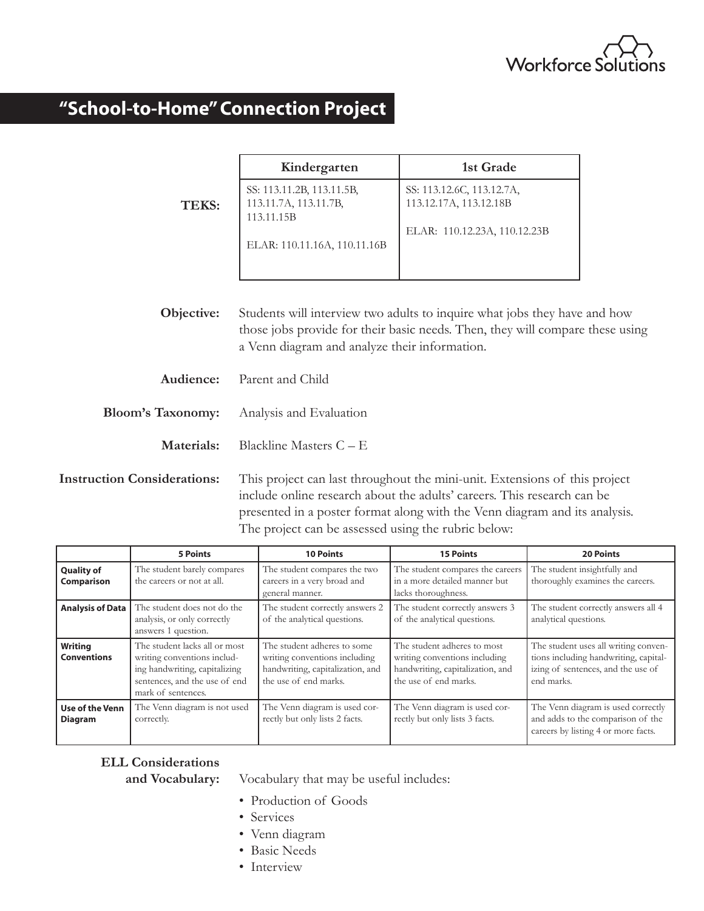

# **"School-to-Home" Connection Project**

|                          | Kindergarten                                                     | 1st Grade                                                                     |
|--------------------------|------------------------------------------------------------------|-------------------------------------------------------------------------------|
| <b>TEKS:</b>             | SS: 113.11.2B, 113.11.5B,<br>113.11.7A, 113.11.7B,<br>113.11.15B | SS: 113.12.6C, 113.12.7A,<br>113.12.17A, 113.12.18B                           |
|                          | ELAR: 110.11.16A, 110.11.16B                                     | ELAR: 110.12.23A, 110.12.23B                                                  |
| Objective:               |                                                                  | Students will interview two adults to inquire what jobs they have and how     |
|                          | a Venn diagram and analyze their information.                    | those jobs provide for their basic needs. Then, they will compare these using |
| Audience:                | Parent and Child                                                 |                                                                               |
| <b>Bloom's Taxonomy:</b> | Analysis and Evaluation                                          |                                                                               |
| Materials:               | Blackline Masters $C - E$                                        |                                                                               |
| tion Considerations:     |                                                                  | This project can last throughout the mini-unit. Extensions of this project    |

**Instruction Considerations:** This project can last throughout the mini-unit. Extensions of this project include online research about the adults' careers. This research can be presented in a poster format along with the Venn diagram and its analysis. The project can be assessed using the rubric below:

|                                   | <b>5 Points</b>                                                                                                                                      | <b>10 Points</b>                                                                                                          | <b>15 Points</b>                                                                                                          | <b>20 Points</b>                                                                                                                  |
|-----------------------------------|------------------------------------------------------------------------------------------------------------------------------------------------------|---------------------------------------------------------------------------------------------------------------------------|---------------------------------------------------------------------------------------------------------------------------|-----------------------------------------------------------------------------------------------------------------------------------|
| <b>Quality of</b><br>Comparison   | The student barely compares<br>the careers or not at all.                                                                                            | The student compares the two<br>careers in a very broad and<br>general manner.                                            | The student compares the careers<br>in a more detailed manner but<br>lacks thoroughness.                                  | The student insightfully and<br>thoroughly examines the careers.                                                                  |
| <b>Analysis of Data</b>           | The student does not do the<br>analysis, or only correctly<br>answers 1 question.                                                                    | The student correctly answers 2<br>of the analytical questions.                                                           | The student correctly answers 3<br>of the analytical questions.                                                           | The student correctly answers all 4<br>analytical questions.                                                                      |
| Writing<br><b>Conventions</b>     | The student lacks all or most<br>writing conventions includ-<br>ing handwriting, capitalizing<br>sentences, and the use of end<br>mark of sentences. | The student adheres to some<br>writing conventions including<br>handwriting, capitalization, and<br>the use of end marks. | The student adheres to most<br>writing conventions including<br>handwriting, capitalization, and<br>the use of end marks. | The student uses all writing conven-<br>tions including handwriting, capital-<br>izing of sentences, and the use of<br>end marks. |
| Use of the Venn<br><b>Diagram</b> | The Venn diagram is not used<br>correctly.                                                                                                           | The Venn diagram is used cor-<br>rectly but only lists 2 facts.                                                           | The Venn diagram is used cor-<br>rectly but only lists 3 facts.                                                           | The Venn diagram is used correctly<br>and adds to the comparison of the<br>careers by listing 4 or more facts.                    |

## **ELL Considerations**

**and Vocabulary:** Vocabulary that may be useful includes:

- Production of Goods
- Services
- Venn diagram
- Basic Needs
- Interview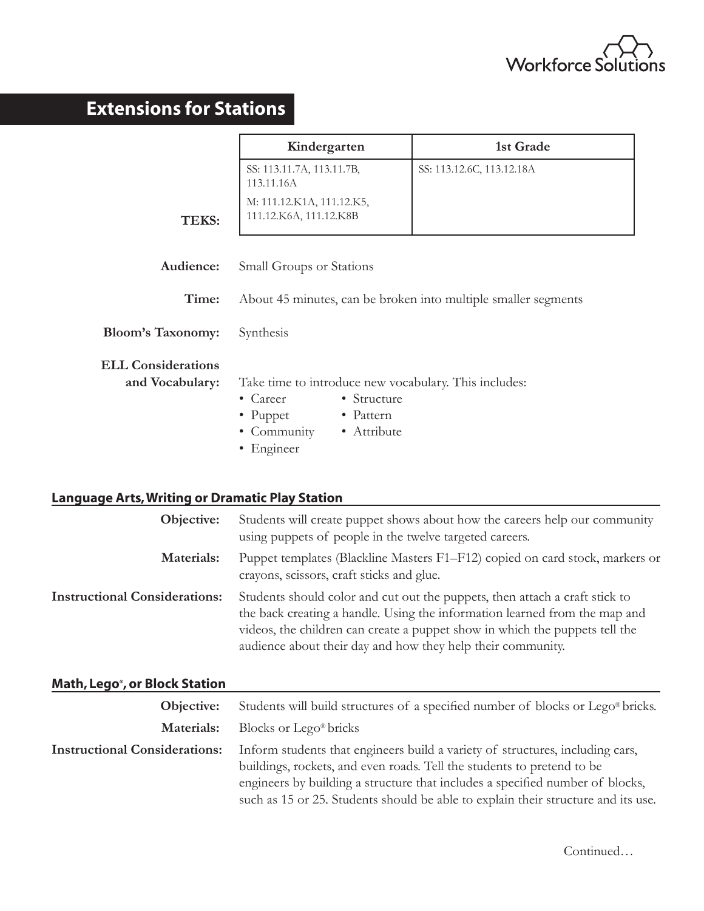

# **Extensions for Stations**

|                                              | Kindergarten                                                                                                                                                  | 1st Grade                 |
|----------------------------------------------|---------------------------------------------------------------------------------------------------------------------------------------------------------------|---------------------------|
|                                              | SS: 113.11.7A, 113.11.7B,<br>113.11.16A                                                                                                                       | SS: 113.12.6C, 113.12.18A |
| TEKS:                                        | M: 111.12.K1A, 111.12.K5,<br>111.12.K6A, 111.12.K8B                                                                                                           |                           |
| Audience:                                    | Small Groups or Stations                                                                                                                                      |                           |
| Time:                                        | About 45 minutes, can be broken into multiple smaller segments                                                                                                |                           |
| <b>Bloom's Taxonomy:</b>                     | Synthesis                                                                                                                                                     |                           |
| <b>ELL Considerations</b><br>and Vocabulary: | Take time to introduce new vocabulary. This includes:<br>• Structure<br>$\bullet$ Career<br>• Pattern<br>• Puppet<br>• Community<br>• Attribute<br>• Engineer |                           |

### **Language Arts, Writing or Dramatic Play Station**

| Objective:                           | Students will create puppet shows about how the careers help our community<br>using puppets of people in the twelve targeted careers.                                                                                                                                                                   |
|--------------------------------------|---------------------------------------------------------------------------------------------------------------------------------------------------------------------------------------------------------------------------------------------------------------------------------------------------------|
| Materials:                           | Puppet templates (Blackline Masters F1-F12) copied on card stock, markers or<br>crayons, scissors, craft sticks and glue.                                                                                                                                                                               |
| <b>Instructional Considerations:</b> | Students should color and cut out the puppets, then attach a craft stick to<br>the back creating a handle. Using the information learned from the map and<br>videos, the children can create a puppet show in which the puppets tell the<br>audience about their day and how they help their community. |

## **Math, Lego®, or Block Station**

| Objective:                           | Students will build structures of a specified number of blocks or Lego <sup>®</sup> bricks.                                                                                                                                                                                                                                   |  |
|--------------------------------------|-------------------------------------------------------------------------------------------------------------------------------------------------------------------------------------------------------------------------------------------------------------------------------------------------------------------------------|--|
| Materials:                           | Blocks or Lego <sup>®</sup> bricks                                                                                                                                                                                                                                                                                            |  |
| <b>Instructional Considerations:</b> | Inform students that engineers build a variety of structures, including cars,<br>buildings, rockets, and even roads. Tell the students to pretend to be<br>engineers by building a structure that includes a specified number of blocks,<br>such as 15 or 25. Students should be able to explain their structure and its use. |  |